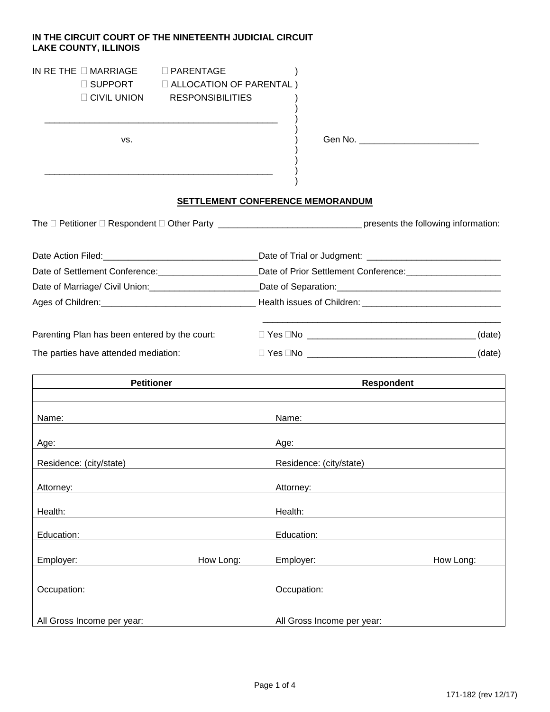## **IN THE CIRCUIT COURT OF THE NINETEENTH JUDICIAL CIRCUIT LAKE COUNTY, ILLINOIS**

\_\_\_\_\_\_\_\_\_\_\_\_\_\_\_\_\_\_\_\_\_\_\_\_\_\_\_\_\_\_\_\_\_\_\_\_\_\_\_\_\_\_\_\_\_\_\_ )

\_\_\_\_\_\_\_\_\_\_\_\_\_\_\_\_\_\_\_\_\_\_\_\_\_\_\_\_\_\_\_\_\_\_\_\_\_\_\_\_\_\_\_\_\_\_ )

| IN RETHE $\Box$ MARRIAGE | $\Box$ PARENTAGE               |
|--------------------------|--------------------------------|
| $\Box$ SUPPORT           | $\Box$ ALLOCATION OF PARENTAL) |

CIVIL UNION RESPONSIBILITIES )

vs.  $\overrightarrow{)}$  Gen No.

## **SETTLEMENT CONFERENCE MEMORANDUM**

)

 $\left\{ \right\}$ 

) )

)

The Petitioner Respondent Other Party \_\_\_\_\_\_\_\_\_\_\_\_\_\_\_\_\_\_\_\_\_\_\_\_\_\_\_\_\_ presents the following information:

| Date of Settlement Conference: 2000 2010                                 | Date of Prior Settlement Conference: |        |
|--------------------------------------------------------------------------|--------------------------------------|--------|
| Date of Marriage/ Civil Union: 2008. [19] Date of Marriage/ Civil Union: |                                      |        |
|                                                                          |                                      |        |
| Parenting Plan has been entered by the court:                            |                                      | (date) |
| The parties have attended mediation:                                     | □ Yes □No _____________________      | (date) |

| <b>Petitioner</b>          |           | Respondent                 |           |
|----------------------------|-----------|----------------------------|-----------|
| Name:                      |           | Name:                      |           |
| Age:                       |           | Age:                       |           |
| Residence: (city/state)    |           | Residence: (city/state)    |           |
| Attorney:                  |           | Attorney:                  |           |
| Health:                    |           | Health:                    |           |
| Education:                 |           | Education:                 |           |
| Employer:                  | How Long: | Employer:                  | How Long: |
| Occupation:                |           | Occupation:                |           |
| All Gross Income per year: |           | All Gross Income per year: |           |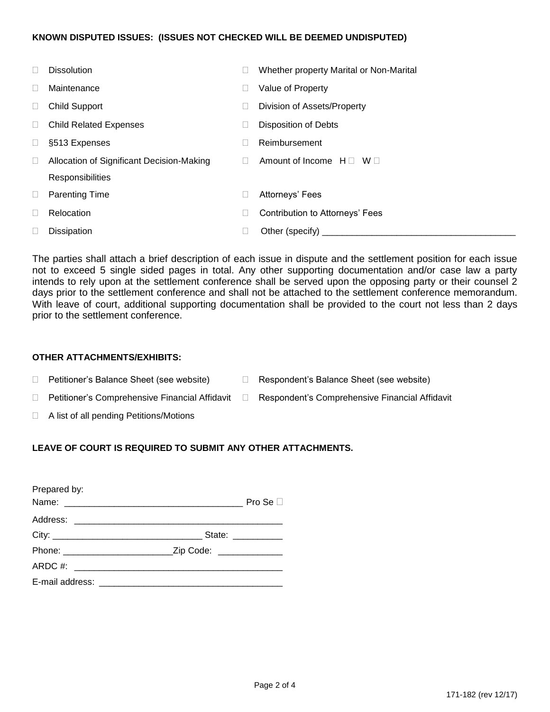#### **KNOWN DISPUTED ISSUES: (ISSUES NOT CHECKED WILL BE DEEMED UNDISPUTED)**

| $\Box$ | <b>Dissolution</b>                        | Whether property Marital or Non-Marital |
|--------|-------------------------------------------|-----------------------------------------|
|        | Maintenance                               | Value of Property                       |
| П      | <b>Child Support</b>                      | Division of Assets/Property             |
| $\Box$ | <b>Child Related Expenses</b>             | <b>Disposition of Debts</b>             |
|        | §513 Expenses                             | Reimbursement                           |
|        | Allocation of Significant Decision-Making | Amount of Income $H \Box$ W $\Box$      |
|        | Responsibilities                          |                                         |
| $\Box$ | <b>Parenting Time</b>                     | Attorneys' Fees                         |
|        | Relocation                                | Contribution to Attorneys' Fees         |
|        | Dissipation                               | Other (specify)                         |

The parties shall attach a brief description of each issue in dispute and the settlement position for each issue not to exceed 5 single sided pages in total. Any other supporting documentation and/or case law a party intends to rely upon at the settlement conference shall be served upon the opposing party or their counsel 2 days prior to the settlement conference and shall not be attached to the settlement conference memorandum. With leave of court, additional supporting documentation shall be provided to the court not less than 2 days prior to the settlement conference.

### **OTHER ATTACHMENTS/EXHIBITS:**

- □ Petitioner's Balance Sheet (see website) □ Respondent's Balance Sheet (see website)
- □ Petitioner's Comprehensive Financial Affidavit □ Respondent's Comprehensive Financial Affidavit
- 
- A list of all pending Petitions/Motions

# **LEAVE OF COURT IS REQUIRED TO SUBMIT ANY OTHER ATTACHMENTS.**

| Prepared by:                         |                     |               |
|--------------------------------------|---------------------|---------------|
|                                      |                     | Pro Se $\Box$ |
|                                      |                     |               |
|                                      | State: ____________ |               |
|                                      |                     |               |
| ARDC #: ____________________________ |                     |               |
|                                      |                     |               |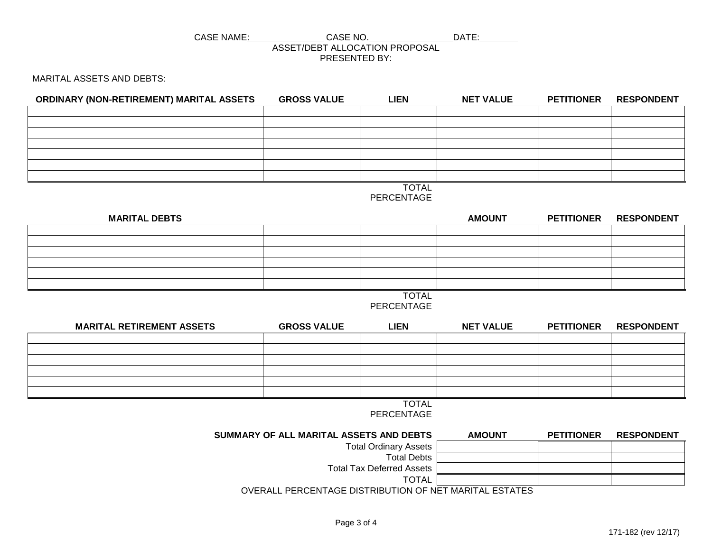#### CASE NAME: CASE NO. DATE: ASSET/DEBT ALLOCATION PROPOSAL PRESENTED BY:

MARITAL ASSETS AND DEBTS:

| ORDINARY (NON-RETIREMENT) MARITAL ASSETS | <b>GROSS VALUE</b> | <b>LIEN</b>  | <b>NET VALUE</b> | <b>PETITIONER</b> | <b>RESPONDENT</b> |
|------------------------------------------|--------------------|--------------|------------------|-------------------|-------------------|
|                                          |                    |              |                  |                   |                   |
|                                          |                    |              |                  |                   |                   |
|                                          |                    |              |                  |                   |                   |
|                                          |                    |              |                  |                   |                   |
|                                          |                    |              |                  |                   |                   |
|                                          |                    |              |                  |                   |                   |
|                                          |                    |              |                  |                   |                   |
|                                          |                    | <b>TOTAL</b> |                  |                   |                   |

PERCENTAGE

| <b>MARITAL DEBTS</b> |              | <b>AMOUNT</b> | <b>PETITIONER</b> | <b>RESPONDENT</b> |
|----------------------|--------------|---------------|-------------------|-------------------|
|                      |              |               |                   |                   |
|                      |              |               |                   |                   |
|                      |              |               |                   |                   |
|                      |              |               |                   |                   |
|                      |              |               |                   |                   |
|                      |              |               |                   |                   |
|                      | <b>TOTAL</b> |               |                   |                   |

PERCENTAGE

| <b>MARITAL RETIREMENT ASSETS</b> | <b>GROSS VALUE</b> | <b>LIEN</b> | <b>NET VALUE</b> | <b>PETITIONER</b> | <b>RESPONDENT</b> |
|----------------------------------|--------------------|-------------|------------------|-------------------|-------------------|
|                                  |                    |             |                  |                   |                   |
|                                  |                    |             |                  |                   |                   |
|                                  |                    |             |                  |                   |                   |
|                                  |                    |             |                  |                   |                   |
|                                  |                    |             |                  |                   |                   |
|                                  |                    |             |                  |                   |                   |

TOTAL PERCENTAGE

| SUMMARY OF ALL MARITAL ASSETS AND DEBTS                | <b>AMOUNT</b> | <b>PETITIONER</b> | <b>RESPONDENT</b> |  |
|--------------------------------------------------------|---------------|-------------------|-------------------|--|
| <b>Total Ordinary Assets</b>                           |               |                   |                   |  |
| <b>Total Debts</b>                                     |               |                   |                   |  |
| <b>Total Tax Deferred Assets</b>                       |               |                   |                   |  |
| <b>TOTAL</b>                                           |               |                   |                   |  |
| OVERALL PERCENTAGE DISTRIBUTION OF NET MARITAL ESTATES |               |                   |                   |  |